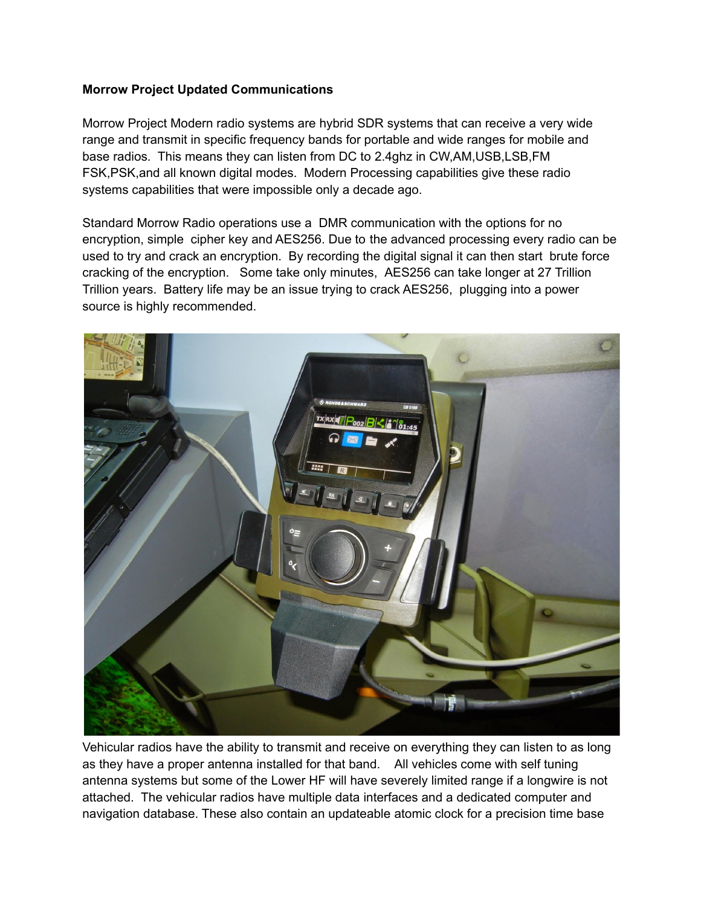## **Morrow Project Updated Communications**

Morrow Project Modern radio systems are hybrid SDR systems that can receive a very wide range and transmit in specific frequency bands for portable and wide ranges for mobile and base radios. This means they can listen from DC to 2.4ghz in CW,AM,USB,LSB,FM FSK,PSK,and all known digital modes. Modern Processing capabilities give these radio systems capabilities that were impossible only a decade ago.

Standard Morrow Radio operations use a DMR communication with the options for no encryption, simple cipher key and AES256. Due to the advanced processing every radio can be used to try and crack an encryption. By recording the digital signal it can then start brute force cracking of the encryption. Some take only minutes, AES256 can take longer at 27 Trillion Trillion years. Battery life may be an issue trying to crack AES256, plugging into a power source is highly recommended.



Vehicular radios have the ability to transmit and receive on everything they can listen to as long as they have a proper antenna installed for that band. All vehicles come with self tuning antenna systems but some of the Lower HF will have severely limited range if a longwire is not attached. The vehicular radios have multiple data interfaces and a dedicated computer and navigation database. These also contain an updateable atomic clock for a precision time base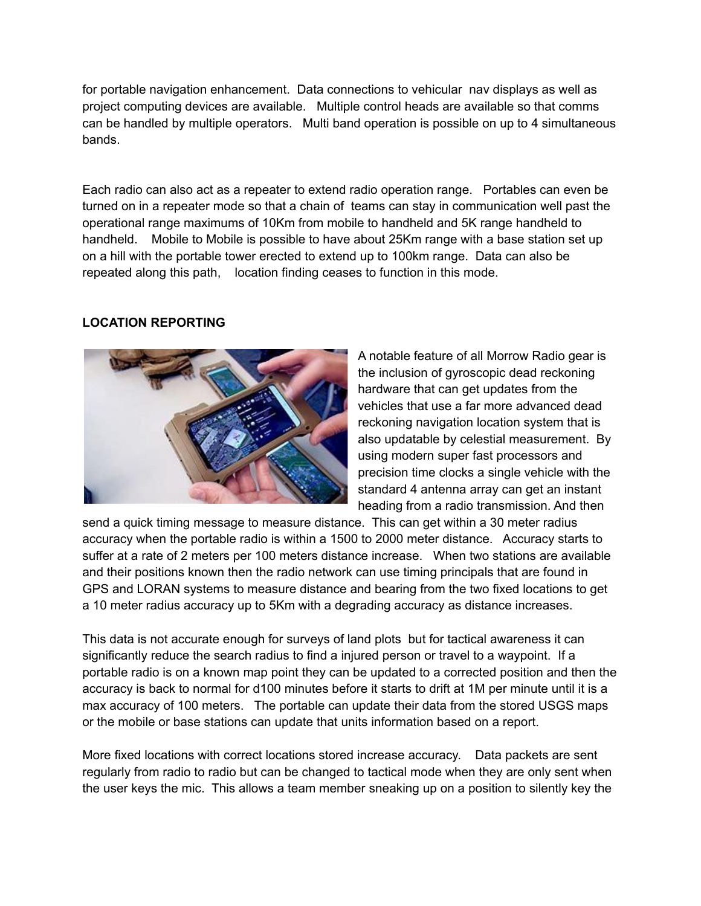for portable navigation enhancement. Data connections to vehicular nav displays as well as project computing devices are available. Multiple control heads are available so that comms can be handled by multiple operators. Multi band operation is possible on up to 4 simultaneous bands.

Each radio can also act as a repeater to extend radio operation range. Portables can even be turned on in a repeater mode so that a chain of teams can stay in communication well past the operational range maximums of 10Km from mobile to handheld and 5K range handheld to handheld. Mobile to Mobile is possible to have about 25Km range with a base station set up on a hill with the portable tower erected to extend up to 100km range. Data can also be repeated along this path, location finding ceases to function in this mode.

# **LOCATION REPORTING**



A notable feature of all Morrow Radio gear is the inclusion of gyroscopic dead reckoning hardware that can get updates from the vehicles that use a far more advanced dead reckoning navigation location system that is also updatable by celestial measurement. By using modern super fast processors and precision time clocks a single vehicle with the standard 4 antenna array can get an instant heading from a radio transmission. And then

send a quick timing message to measure distance. This can get within a 30 meter radius accuracy when the portable radio is within a 1500 to 2000 meter distance. Accuracy starts to suffer at a rate of 2 meters per 100 meters distance increase. When two stations are available and their positions known then the radio network can use timing principals that are found in GPS and LORAN systems to measure distance and bearing from the two fixed locations to get a 10 meter radius accuracy up to 5Km with a degrading accuracy as distance increases.

This data is not accurate enough for surveys of land plots but for tactical awareness it can significantly reduce the search radius to find a injured person or travel to a waypoint. If a portable radio is on a known map point they can be updated to a corrected position and then the accuracy is back to normal for d100 minutes before it starts to drift at 1M per minute until it is a max accuracy of 100 meters. The portable can update their data from the stored USGS maps or the mobile or base stations can update that units information based on a report.

More fixed locations with correct locations stored increase accuracy. Data packets are sent regularly from radio to radio but can be changed to tactical mode when they are only sent when the user keys the mic. This allows a team member sneaking up on a position to silently key the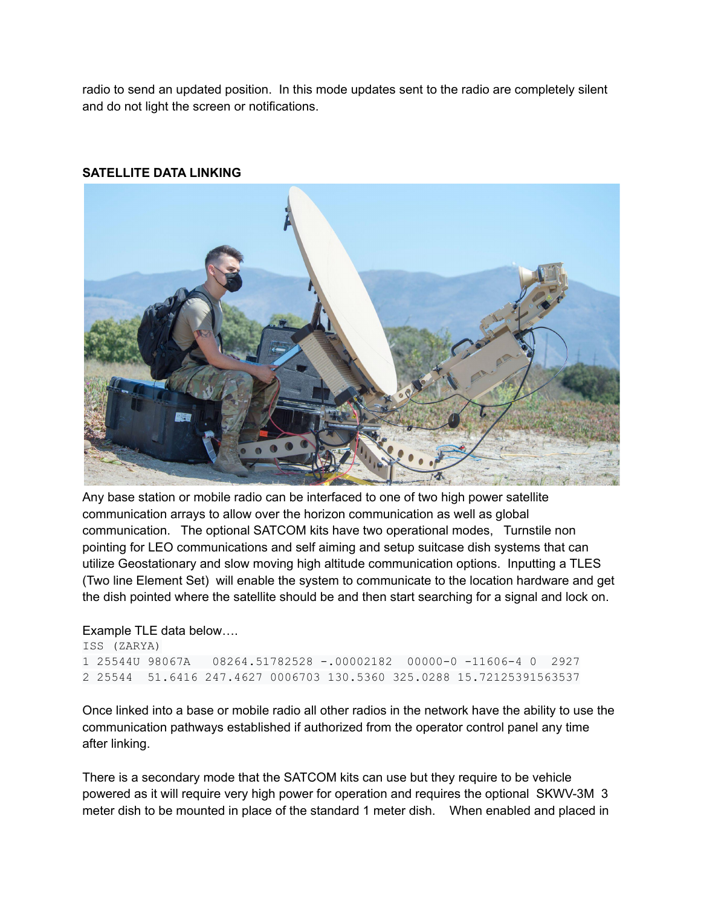radio to send an updated position. In this mode updates sent to the radio are completely silent and do not light the screen or notifications.

## **SATELLITE DATA LINKING**



Any base station or mobile radio can be interfaced to one of two high power satellite communication arrays to allow over the horizon communication as well as global communication. The optional SATCOM kits have two operational modes, Turnstile non pointing for LEO communications and self aiming and setup suitcase dish systems that can utilize Geostationary and slow moving high altitude communication options. Inputting a TLES (Two line Element Set) will enable the system to communicate to the location hardware and get the dish pointed where the satellite should be and then start searching for a signal and lock on.

### Example TLE data below….

```
ISS (ZARYA)
1 25544U 98067A 08264.51782528 -.00002182 00000-0 -11606-4 0 2927
2 25544 51.6416 247.4627 0006703 130.5360 325.0288 15.72125391563537
```
Once linked into a base or mobile radio all other radios in the network have the ability to use the communication pathways established if authorized from the operator control panel any time after linking.

There is a secondary mode that the SATCOM kits can use but they require to be vehicle powered as it will require very high power for operation and requires the optional SKWV-3M 3 meter dish to be mounted in place of the standard 1 meter dish. When enabled and placed in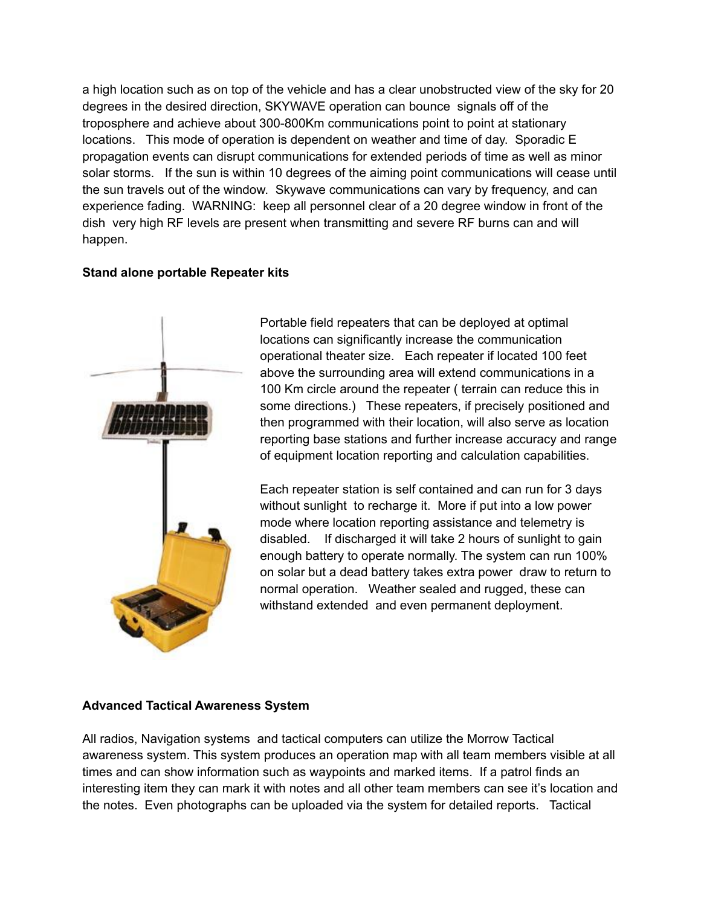a high location such as on top of the vehicle and has a clear unobstructed view of the sky for 20 degrees in the desired direction, SKYWAVE operation can bounce signals off of the troposphere and achieve about 300-800Km communications point to point at stationary locations. This mode of operation is dependent on weather and time of day. Sporadic E propagation events can disrupt communications for extended periods of time as well as minor solar storms. If the sun is within 10 degrees of the aiming point communications will cease until the sun travels out of the window. Skywave communications can vary by frequency, and can experience fading. WARNING: keep all personnel clear of a 20 degree window in front of the dish very high RF levels are present when transmitting and severe RF burns can and will happen.

### **Stand alone portable Repeater kits**



Portable field repeaters that can be deployed at optimal locations can significantly increase the communication operational theater size. Each repeater if located 100 feet above the surrounding area will extend communications in a 100 Km circle around the repeater ( terrain can reduce this in some directions.) These repeaters, if precisely positioned and then programmed with their location, will also serve as location reporting base stations and further increase accuracy and range of equipment location reporting and calculation capabilities.

Each repeater station is self contained and can run for 3 days without sunlight to recharge it. More if put into a low power mode where location reporting assistance and telemetry is disabled. If discharged it will take 2 hours of sunlight to gain enough battery to operate normally. The system can run 100% on solar but a dead battery takes extra power draw to return to normal operation. Weather sealed and rugged, these can withstand extended and even permanent deployment.

### **Advanced Tactical Awareness System**

All radios, Navigation systems and tactical computers can utilize the Morrow Tactical awareness system. This system produces an operation map with all team members visible at all times and can show information such as waypoints and marked items. If a patrol finds an interesting item they can mark it with notes and all other team members can see it's location and the notes. Even photographs can be uploaded via the system for detailed reports. Tactical